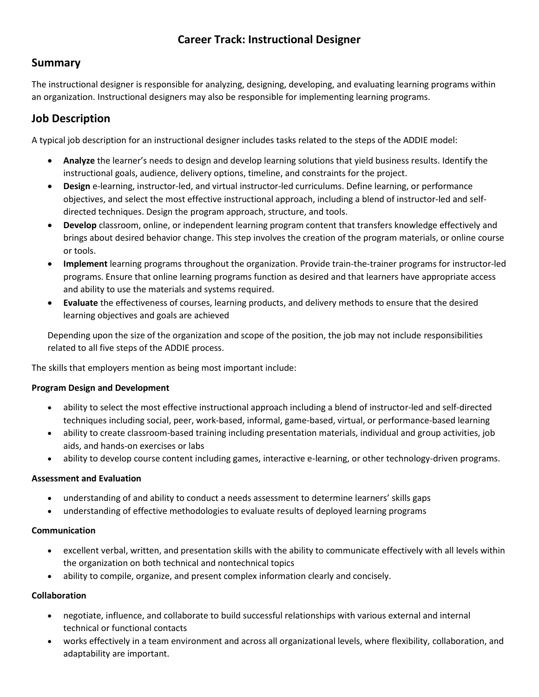# **Career Track: Instructional Designer**

## **Summary**

The instructional designer is responsible for analyzing, designing, developing, and evaluating learning programs within an organization. Instructional designers may also be responsible for implementing learning programs.

# **Job Description**

A typical job description for an instructional designer includes tasks related to the steps of the ADDIE model:

- **Analyze** the learner's needs to design and develop learning solutions that yield business results. Identify the instructional goals, audience, delivery options, timeline, and constraints for the project.
- **Design** e-learning, instructor-led, and virtual instructor-led curriculums. Define learning, or performance objectives, and select the most effective instructional approach, including a blend of instructor-led and selfdirected techniques. Design the program approach, structure, and tools.
- **Develop** classroom, online, or independent learning program content that transfers knowledge effectively and brings about desired behavior change. This step involves the creation of the program materials, or online course or tools.
- **Implement** learning programs throughout the organization. Provide train-the-trainer programs for instructor-led programs. Ensure that online learning programs function as desired and that learners have appropriate access and ability to use the materials and systems required.
- **Evaluate** the effectiveness of courses, learning products, and delivery methods to ensure that the desired learning objectives and goals are achieved

Depending upon the size of the organization and scope of the position, the job may not include responsibilities related to all five steps of the ADDIE process.

The skills that employers mention as being most important include:

#### **Program Design and Development**

- ability to select the most effective instructional approach including a blend of instructor-led and self-directed techniques including social, peer, work-based, informal, game-based, virtual, or performance-based learning
- ability to create classroom-based training including presentation materials, individual and group activities, job aids, and hands-on exercises or labs
- ability to develop course content including games, interactive e-learning, or other technology-driven programs.

#### **Assessment and Evaluation**

- understanding of and ability to conduct a needs assessment to determine learners' skills gaps
- understanding of effective methodologies to evaluate results of deployed learning programs

#### **Communication**

- excellent verbal, written, and presentation skills with the ability to communicate effectively with all levels within the organization on both technical and nontechnical topics
- ability to compile, organize, and present complex information clearly and concisely.

#### **Collaboration**

- negotiate, influence, and collaborate to build successful relationships with various external and internal technical or functional contacts
- works effectively in a team environment and across all organizational levels, where flexibility, collaboration, and adaptability are important.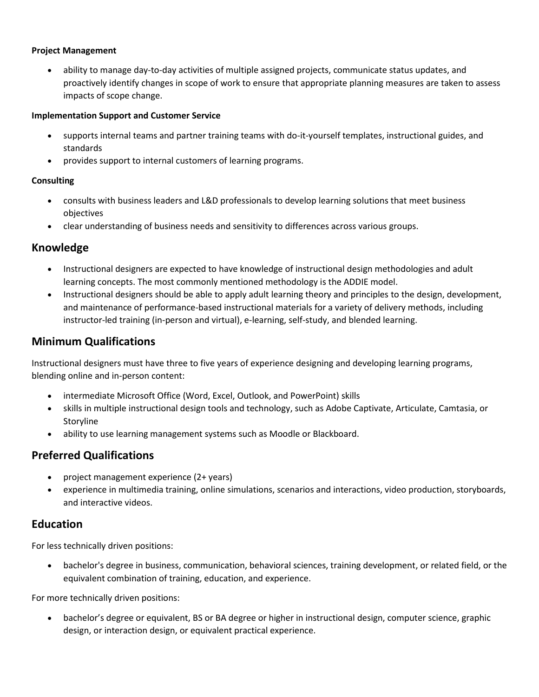#### **Project Management**

• ability to manage day-to-day activities of multiple assigned projects, communicate status updates, and proactively identify changes in scope of work to ensure that appropriate planning measures are taken to assess impacts of scope change.

#### **Implementation Support and Customer Service**

- supports internal teams and partner training teams with do-it-yourself templates, instructional guides, and standards
- provides support to internal customers of learning programs.

#### **Consulting**

- consults with business leaders and L&D professionals to develop learning solutions that meet business objectives
- clear understanding of business needs and sensitivity to differences across various groups.

### **Knowledge**

- Instructional designers are expected to have knowledge of instructional design methodologies and adult learning concepts. The most commonly mentioned methodology is the ADDIE model.
- Instructional designers should be able to apply adult learning theory and principles to the design, development, and maintenance of performance-based instructional materials for a variety of delivery methods, including instructor-led training (in-person and virtual), e-learning, self-study, and blended learning.

### **Minimum Qualifications**

Instructional designers must have three to five years of experience designing and developing learning programs, blending online and in-person content:

- intermediate Microsoft Office (Word, Excel, Outlook, and PowerPoint) skills
- skills in multiple instructional design tools and technology, such as Adobe Captivate, Articulate, Camtasia, or Storyline
- ability to use learning management systems such as Moodle or Blackboard.

## **Preferred Qualifications**

- project management experience (2+ years)
- experience in multimedia training, online simulations, scenarios and interactions, video production, storyboards, and interactive videos.

### **Education**

For less technically driven positions:

• bachelor's degree in business, communication, behavioral sciences, training development, or related field, or the equivalent combination of training, education, and experience.

For more technically driven positions:

• bachelor's degree or equivalent, BS or BA degree or higher in instructional design, computer science, graphic design, or interaction design, or equivalent practical experience.